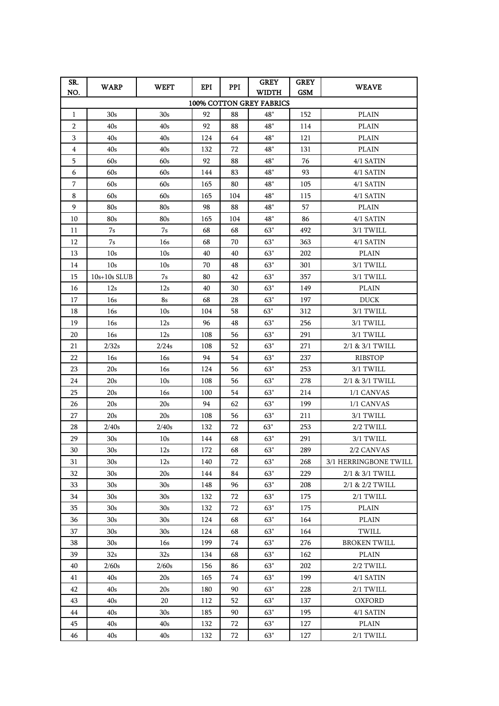| SR.<br>NO.               | <b>WARP</b>     | WEFT            | EPI | PPI | <b>GREY</b><br>WIDTH | <b>GREY</b><br><b>GSM</b> | <b>WEAVE</b>          |  |  |  |  |  |
|--------------------------|-----------------|-----------------|-----|-----|----------------------|---------------------------|-----------------------|--|--|--|--|--|
| 100% COTTON GREY FABRICS |                 |                 |     |     |                      |                           |                       |  |  |  |  |  |
| 1                        | 30 <sub>s</sub> | 30 <sub>s</sub> | 92  | 88  | 48"                  | 152                       | <b>PLAIN</b>          |  |  |  |  |  |
| 2                        | 40s             | 40s             | 92  | 88  | 48"                  | 114                       | <b>PLAIN</b>          |  |  |  |  |  |
| 3                        | 40s             | 40s             | 124 | 64  | 48"                  | 121                       | <b>PLAIN</b>          |  |  |  |  |  |
| 4                        | 40s             | 40s             | 132 | 72  | 48"                  | 131                       | <b>PLAIN</b>          |  |  |  |  |  |
| 5                        | 60s             | 60s             | 92  | 88  | 48"                  | 76                        | 4/1 SATIN             |  |  |  |  |  |
| 6                        | 60s             | 60s             | 144 | 83  | 48"                  | 93                        | 4/1 SATIN             |  |  |  |  |  |
| 7                        | 60s             | 60s             | 165 | 80  | 48"                  | 105                       | 4/1 SATIN             |  |  |  |  |  |
| 8                        | 60s             | 60s             | 165 | 104 | $48"$                | 115                       | 4/1 SATIN             |  |  |  |  |  |
| 9                        | 80s             | 80s             | 98  | 88  | 48"                  | 57                        | <b>PLAIN</b>          |  |  |  |  |  |
| 10                       | 80s             | 80s             | 165 | 104 | 48"                  | 86                        | 4/1 SATIN             |  |  |  |  |  |
| 11                       | 7s              | 7s              | 68  | 68  | 63"                  | 492                       | 3/1 TWILL             |  |  |  |  |  |
| 12                       | 7s              | 16s             | 68  | 70  | 63"                  | 363                       | 4/1 SATIN             |  |  |  |  |  |
| 13                       | 10 <sub>s</sub> | 10 <sub>s</sub> | 40  | 40  | 63"                  | 202                       | <b>PLAIN</b>          |  |  |  |  |  |
| 14                       | 10 <sub>s</sub> | 10 <sub>s</sub> | 70  | 48  | 63"                  | 301                       | 3/1 TWILL             |  |  |  |  |  |
| 15                       | $10s+10s$ SLUB  | 7s              | 80  | 42  | 63"                  | 357                       | 3/1 TWILL             |  |  |  |  |  |
| 16                       | 12s             | 12s             | 40  | 30  | 63"                  | 149                       | <b>PLAIN</b>          |  |  |  |  |  |
| 17                       | 16s             | 8s              | 68  | 28  | 63"                  | 197                       | <b>DUCK</b>           |  |  |  |  |  |
| 18                       | 16s             | 10 <sub>s</sub> | 104 | 58  | 63"                  | 312                       | 3/1 TWILL             |  |  |  |  |  |
| 19                       | 16s             | 12s             | 96  | 48  | 63"                  | 256                       | 3/1 TWILL             |  |  |  |  |  |
| 20                       | 16s             | 12s             | 108 | 56  | 63"                  | 291                       | 3/1 TWILL             |  |  |  |  |  |
| 21                       | 2/32s           | 2/24s           | 108 | 52  | 63"                  | 271                       | 2/1 & 3/1 TWILL       |  |  |  |  |  |
| 22                       | 16s             | 16s             | 94  | 54  | 63"                  | 237                       | <b>RIBSTOP</b>        |  |  |  |  |  |
| 23                       | 20s             | 16s             | 124 | 56  | 63"                  | 253                       | 3/1 TWILL             |  |  |  |  |  |
| 24                       | 20s             | 10 <sub>s</sub> | 108 | 56  | 63"                  | 278                       | 2/1 & 3/1 TWILL       |  |  |  |  |  |
| 25                       | 20s             | 16s             | 100 | 54  | 63"                  | 214                       | 1/1 CANVAS            |  |  |  |  |  |
| 26                       | 20s             | 20s             | 94  | 62  | 63"                  | 199                       | 1/1 CANVAS            |  |  |  |  |  |
| 27                       | 20s             | 20s             | 108 | 56  | 63"                  | 211                       | 3/1 TWILL             |  |  |  |  |  |
| 28                       | 2/40s           | 2/40s           | 132 | 72  | 63"                  | 253                       | 2/2 TWILL             |  |  |  |  |  |
| 29                       | 30 <sub>s</sub> | 10 <sub>s</sub> | 144 | 68  | 63"                  | 291                       | 3/1 TWILL             |  |  |  |  |  |
| 30                       | 30 <sub>s</sub> | 12s             | 172 | 68  | 63"                  | 289                       | 2/2 CANVAS            |  |  |  |  |  |
| 31                       | 30 <sub>s</sub> | 12s             | 140 | 72  | 63"                  | 268                       | 3/1 HERRINGBONE TWILL |  |  |  |  |  |
| 32                       | 30 <sub>s</sub> | 20s             | 144 | 84  | 63"                  | 229                       | 2/1 & 3/1 TWILL       |  |  |  |  |  |
| 33                       | 30s             | 30s             | 148 | 96  | 63"                  | 208                       | 2/1 & 2/2 TWILL       |  |  |  |  |  |
| 34                       | 30 <sub>s</sub> | 30 <sub>s</sub> | 132 | 72  | 63"                  | 175                       | 2/1 TWILL             |  |  |  |  |  |
| 35                       | 30s             | 30s             | 132 | 72  | 63"                  | 175                       | <b>PLAIN</b>          |  |  |  |  |  |
| 36                       | 30s             | 30s             | 124 | 68  | 63"                  | 164                       | <b>PLAIN</b>          |  |  |  |  |  |
| 37                       | 30 <sub>s</sub> | 30s             | 124 | 68  | 63"                  | 164                       | TWILL                 |  |  |  |  |  |
| 38                       | 30s             | 16s             | 199 | 74  | 63"                  | 276                       | <b>BROKEN TWILL</b>   |  |  |  |  |  |
| 39                       | 32 <sub>s</sub> | 32s             | 134 | 68  | 63"                  | 162                       | <b>PLAIN</b>          |  |  |  |  |  |
| 40                       | 2/60s           | 2/60s           | 156 | 86  | 63"                  | 202                       | 2/2 TWILL             |  |  |  |  |  |
| 41                       | 40s             | 20s             | 165 | 74  | 63"                  | 199                       | 4/1 SATIN             |  |  |  |  |  |
| 42                       | 40s             | 20s             | 180 | 90  | 63"                  | 228                       | 2/1 TWILL             |  |  |  |  |  |
| 43                       | 40s             | 20              | 112 | 52  | 63"                  | 137                       | OXFORD                |  |  |  |  |  |
| 44                       | 40s             | 30s             | 185 | 90  | 63"                  | 195                       | 4/1 SATIN             |  |  |  |  |  |
| 45                       | 40s             | 40s             | 132 | 72  | 63"                  | 127                       | <b>PLAIN</b>          |  |  |  |  |  |
| 46                       | 40s             | 40s             | 132 | 72  | 63"                  | 127                       | 2/1 TWILL             |  |  |  |  |  |